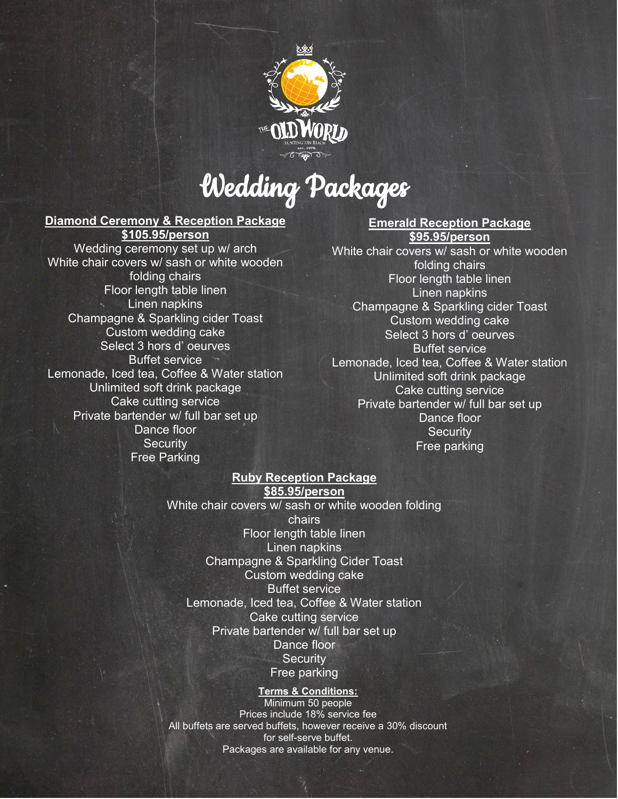

# Wedding Packages

### **Diamond Ceremony & Reception Package \$105.95/person**

Wedding ceremony set up w/ arch White chair covers w/ sash or white wooden folding chairs Floor length table linen Linen napkins Champagne & Sparkling cider Toast Custom wedding cake Select 3 hors d' oeurves Buffet service Lemonade, Iced tea, Coffee & Water station Unlimited soft drink package Cake cutting service Private bartender w/ full bar set up Dance floor **Security** Free Parking

**Emerald Reception Package \$95.95/person** 

White chair covers w/ sash or white wooden folding chairs Floor length table linen Linen napkins Champagne & Sparkling cider Toast Custom wedding cake Select 3 hors d' oeurves Buffet service Lemonade, Iced tea, Coffee & Water station Unlimited soft drink package Cake cutting service Private bartender w/ full bar set up Dance floor **Security** Free parking

## **Ruby Reception Package \$85.95/person**

White chair covers w/ sash or white wooden folding chairs Floor length table linen Linen napkins Champagne & Sparkling Cider Toast Custom wedding cake Buffet service Lemonade, Iced tea, Coffee & Water station Cake cutting service Private bartender w/ full bar set up Dance floor **Security** Free parking

**Terms & Conditions:** Minimum 50 people Prices include 18% service fee All buffets are served buffets, however receive a 30% discount for self-serve buffet. Packages are available for any venue.